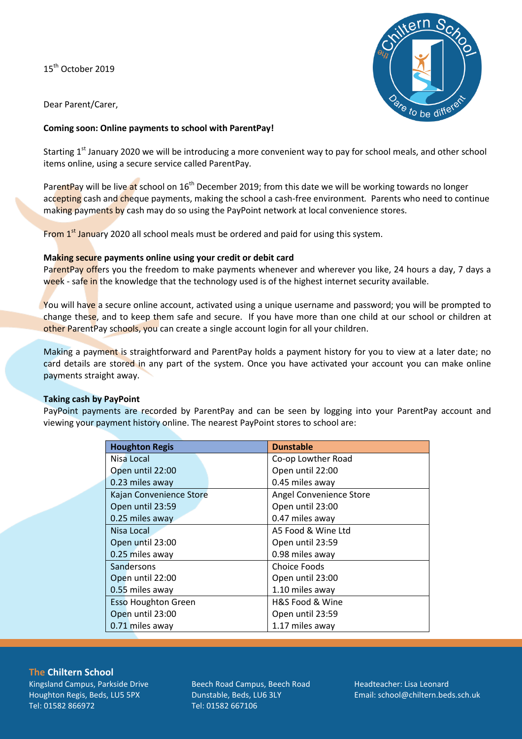15<sup>th</sup> October 2019



Dear Parent/Carer,

## **Coming soon: Online payments to school with ParentPay!**

Starting 1<sup>st</sup> January 2020 we will be introducing a more convenient way to pay for school meals, and other school items online, using a secure service called ParentPay*.* 

ParentPay will be live at school on 16<sup>th</sup> December 2019; from this date we will be working towards no longer accepting cash and cheque payments, making the school a cash-free environment*.* Parents who need to continue making payments by cash may do so using the PayPoint network at local convenience stores.

From  $1<sup>st</sup>$  January 2020 all school meals must be ordered and paid for using this system.

### **Making secure payments online using your credit or debit card**

ParentPay offers you the freedom to make payments whenever and wherever you like, 24 hours a day, 7 days a week - safe in the knowledge that the technology used is of the highest internet security available.

You will have a secure online account, activated using a unique username and password; you will be prompted to change these, and to keep them safe and secure. If you have more than one child at our school or children at other ParentPay schools, you can create a single account login for all your children.

Making a payment is straightforward and ParentPay holds a payment history for you to view at a later date; no card details are stored in any part of the system. Once you have activated your account you can make online payments straight away.

#### **Taking cash by PayPoint**

PayPoint payments are recorded by ParentPay and can be seen by logging into your ParentPay account and viewing your payment history online. The nearest PayPoint stores to school are:

| <b>Houghton Regis</b>      | <b>Dunstable</b>        |
|----------------------------|-------------------------|
| Nisa Local                 | Co-op Lowther Road      |
| Open until 22:00           | Open until 22:00        |
| 0.23 miles away            | 0.45 miles away         |
| Kajan Convenience Store    | Angel Convenience Store |
| Open until 23:59           | Open until 23:00        |
| 0.25 miles away            | 0.47 miles away         |
| Nisa Local                 | A5 Food & Wine Ltd      |
| Open until 23:00           | Open until 23:59        |
| 0.25 miles away            | 0.98 miles away         |
| Sandersons                 | Choice Foods            |
| Open until 22:00           | Open until 23:00        |
| 0.55 miles away            | 1.10 miles away         |
| <b>Esso Houghton Green</b> | H&S Food & Wine         |
| Open until 23:00           | Open until 23:59        |
| 0.71 miles away            | 1.17 miles away         |

**The Chiltern School**

Kingsland Campus, Parkside Drive Houghton Regis, Beds, LU5 5PX Tel: 01582 866972

Beech Road Campus, Beech Road Dunstable, Beds, LU6 3LY Tel: 01582 667106

Headteacher: Lisa Leonard Email: school@chiltern.beds.sch.uk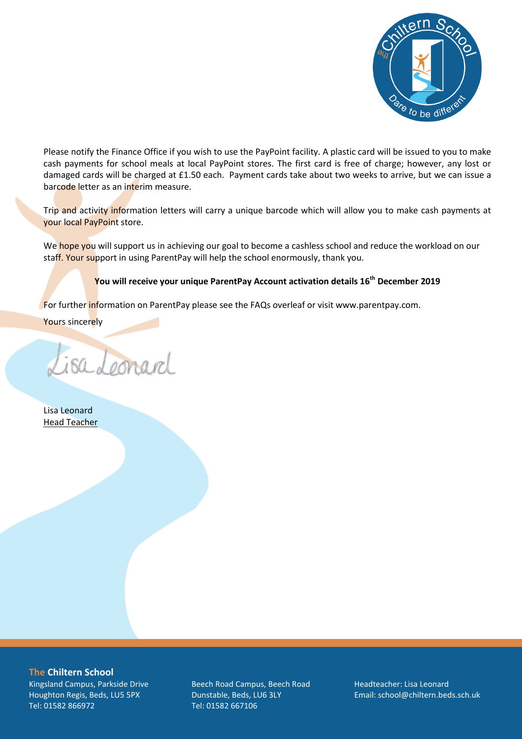

Please notify the Finance Office if you wish to use the PayPoint facility. A plastic card will be issued to you to make cash payments for school meals at local PayPoint stores. The first card is free of charge; however, any lost or damaged cards will be charged at £1.50 each. Payment cards take about two weeks to arrive, but we can issue a barcode letter as an interim measure.

Trip and activity information letters will carry a unique barcode which will allow you to make cash payments at your local PayPoint store.

We hope you will support us in achieving our goal to become a cashless school and reduce the workload on our staff. Your support in using ParentPay will help the school enormously, thank you.

# **You will receive your unique ParentPay Account activation details 16th December 2019**

For further information on ParentPay please see the FAQs overleaf or visit www.parentpay.com.

Yours sincerely

Lisa Leonard

Lisa Leonard Head Teacher

**The Chiltern School** Kingsland Campus, Parkside Drive Houghton Regis, Beds, LU5 5PX Tel: 01582 866972

Beech Road Campus, Beech Road Dunstable, Beds, LU6 3LY Tel: 01582 667106

Headteacher: Lisa Leonard Email: school@chiltern.beds.sch.uk